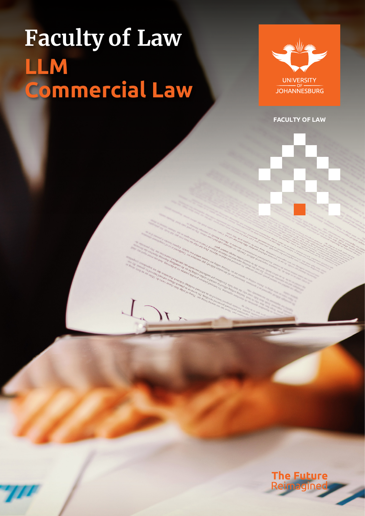# **Faculty of Law LLM Commercial Law**



**FACULTY OF LAW**

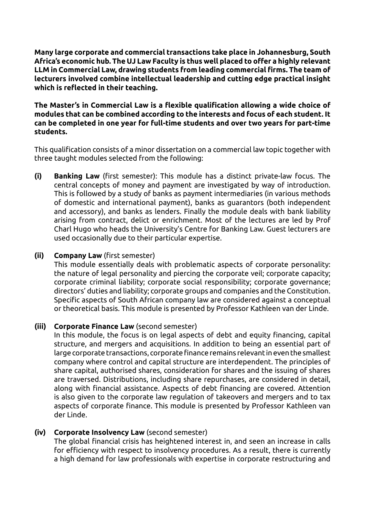**Many large corporate and commercial transactions take place in Johannesburg, South Africa's economic hub. The UJ Law Faculty is thus well placed to offer a highly relevant LLM in Commercial Law, drawing students from leading commercial firms. The team of lecturers involved combine intellectual leadership and cutting edge practical insight which is reflected in their teaching.**

#### **The Master's in Commercial Law is a flexible qualification allowing a wide choice of modules that can be combined according to the interests and focus of each student. It can be completed in one year for full-time students and over two years for part-time students.**

This qualification consists of a minor dissertation on a commercial law topic together with three taught modules selected from the following:

**(i) Banking Law** (first semester): This module has a distinct private-law focus. The central concepts of money and payment are investigated by way of introduction. This is followed by a study of banks as payment intermediaries (in various methods of domestic and international payment), banks as guarantors (both independent and accessory), and banks as lenders. Finally the module deals with bank liability arising from contract, delict or enrichment. Most of the lectures are led by Prof Charl Hugo who heads the University's Centre for Banking Law. Guest lecturers are used occasionally due to their particular expertise.

# **(ii) Company Law** (first semester)

This module essentially deals with problematic aspects of corporate personality: the nature of legal personality and piercing the corporate veil; corporate capacity; corporate criminal liability; corporate social responsibility; corporate governance; directors' duties and liability; corporate groups and companies and the Constitution. Specific aspects of South African company law are considered against a conceptual or theoretical basis. This module is presented by Professor Kathleen van der Linde.

# **(iii) Corporate Finance Law** (second semester)

 In this module, the focus is on legal aspects of debt and equity financing, capital structure, and mergers and acquisitions. In addition to being an essential part of large corporate transactions, corporatefinance remains relevant ineventhe smallest company where control and capital structure are interdependent. The principles of share capital, authorised shares, consideration for shares and the issuing of shares are traversed. Distributions, including share repurchases, are considered in detail, along with financial assistance. Aspects of debt financing are covered. Attention is also given to the corporate law regulation of takeovers and mergers and to tax aspects of corporate finance. This module is presented by Professor Kathleen van der Linde.

# **(iv) Corporate Insolvency Law** (second semester)

 The global financial crisis has heightened interest in, and seen an increase in calls for efficiency with respect to insolvency procedures. As a result, there is currently a high demand for law professionals with expertise in corporate restructuring and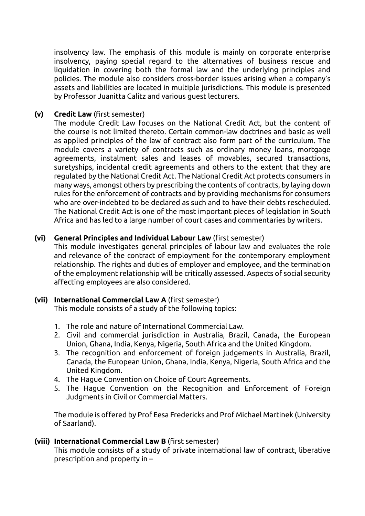insolvency law. The emphasis of this module is mainly on corporate enterprise insolvency, paying special regard to the alternatives of business rescue and liquidation in covering both the formal law and the underlying principles and policies. The module also considers cross-border issues arising when a company's assets and liabilities are located in multiple jurisdictions. This module is presented by Professor Juanitta Calitz and various guest lecturers.

### **(v) Credit Law** (first semester)

The module Credit Law focuses on the National Credit Act, but the content of the course is not limited thereto. Certain common-law doctrines and basic as well as applied principles of the law of contract also form part of the curriculum. The module covers a variety of contracts such as ordinary money loans, mortgage agreements, instalment sales and leases of movables, secured transactions, suretyships, incidental credit agreements and others to the extent that they are regulated by the National Credit Act. The National Credit Act protects consumers in many ways, amongst others by prescribing the contents of contracts, by laying down rules for the enforcement of contracts and by providing mechanisms for consumers who are over-indebted to be declared as such and to have their debts rescheduled. The National Credit Act is one of the most important pieces of legislation in South Africa and has led to a large number of court cases and commentaries by writers.

#### **(vi) General Principles and Individual Labour Law** (first semester)

This module investigates general principles of labour law and evaluates the role and relevance of the contract of employment for the contemporary employment relationship. The rights and duties of employer and employee, and the termination of the employment relationship will be critically assessed. Aspects of social security affecting employees are also considered.

#### **(vii) International Commercial Law A** (first semester)

This module consists of a study of the following topics:

- 1. The role and nature of International Commercial Law.
- 2. Civil and commercial jurisdiction in Australia, Brazil, Canada, the European Union, Ghana, India, Kenya, Nigeria, South Africa and the United Kingdom.
- 3. The recognition and enforcement of foreign judgements in Australia, Brazil, Canada, the European Union, Ghana, India, Kenya, Nigeria, South Africa and the United Kingdom.
- 4. The Hague Convention on Choice of Court Agreements.
- 5. The Hague Convention on the Recognition and Enforcement of Foreign Judgments in Civil or Commercial Matters.

 The module is offered by Prof Eesa Fredericks and Prof Michael Martinek (University of Saarland).

#### **(viii) International Commercial Law B** (first semester)

This module consists of a study of private international law of contract, liberative prescription and property in –